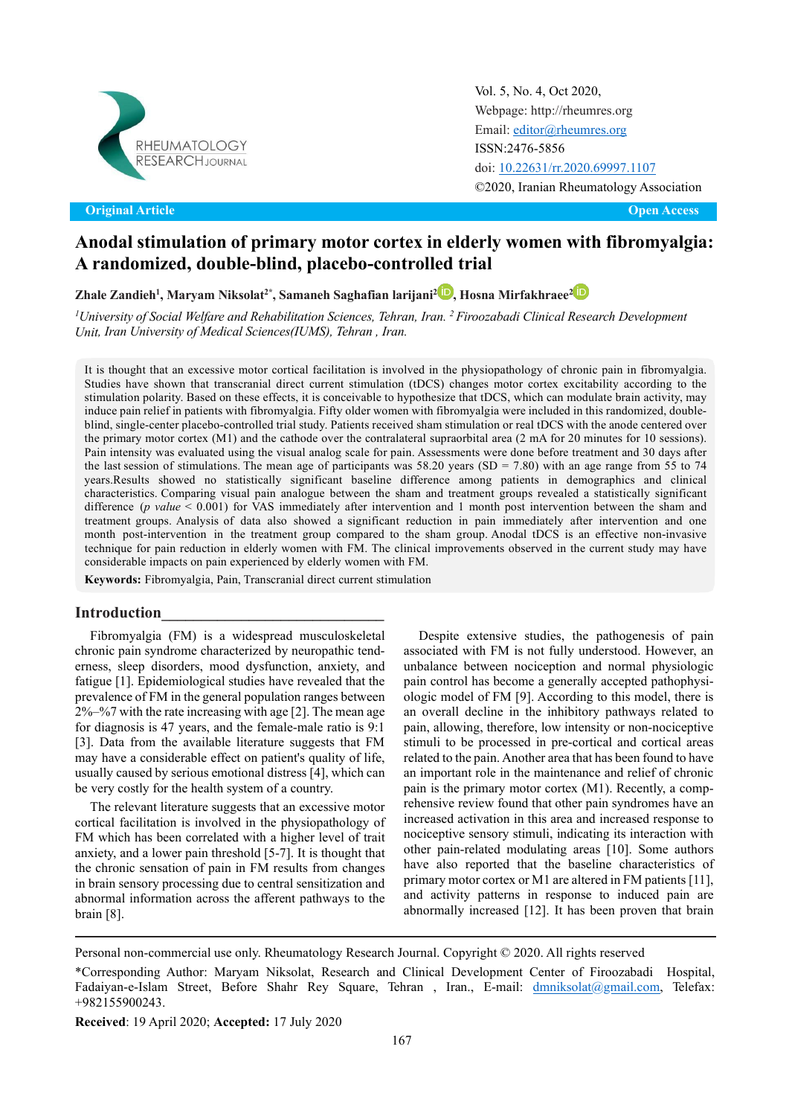

Original Article Open Access **Original Article Open Access**

Vol. 5, No. 4, Oct 2020, [Webpage: http://rheumres.org](http://rheumres.org/) Email[: editor@rheumres.org](mailto:editor@rheumres.org) ISSN:2476-5856 doi[: 10.22631/rr.2020.69997.1107](http://dx.doi.org/10.22631/rr.2017.69997.1021) ©2020, Iranian Rheumatology Association

# **Anodal stimulation of primary motor cortex in elderly women with fibromyalgia: A randomized, double-blind, placebo-controlled trial**

**Zhale Zandieh1 , Maryam Niksolat2\* , Samaneh Saghafian larijani[2](https://orcid.org/0000-0001-5530-8203) , Hosna Mirfakhraee[2](https://orcid.org/0000-0003-1889-6389)**

*<sup>1</sup>University of Social Welfare and Rehabilitation Sciences, Tehran, Iran. <sup>2</sup> Firoozabadi Clinical Research Development Unit, Iran University of Medical Sciences(IUMS), Tehran , Iran.*

 induce pain relief in patients with fibromyalgia. Fifty older women with fibromyalgia were included in this randomized, doublethe last session of stimulations. The mean age of participants was  $58.20$  years  $(SD = 7.80)$  with an age range from 55 to 74 month post-intervention in the treatment group compared to the sham group. Anodal tDCS is an effective non-invasive It is thought that an excessive motor cortical facilitation is involved in the physiopathology of chronic pain in fibromyalgia. Studies have shown that transcranial direct current stimulation (tDCS) changes motor cortex excitability according to the stimulation polarity. Based on these effects, it is conceivable to hypothesize that tDCS, which can modulate brain activity, may blind, single-center placebo-controlled trial study. Patients received sham stimulation or real tDCS with the anode centered over the primary motor cortex (M1) and the cathode over the contralateral supraorbital area (2 mA for 20 minutes for 10 sessions). Pain intensity was evaluated using the visual analog scale for pain. Assessments were done before treatment and 30 days after years.Results showed no statistically significant baseline difference among patients in demographics and clinical characteristics. Comparing visual pain analogue between the sham and treatment groups revealed a statistically significant difference (*p value* < 0.001) for VAS immediately after intervention and 1 month post intervention between the sham and treatment groups. Analysis of data also showed a significant reduction in pain immediately after intervention and one technique for pain reduction in elderly women with FM. The clinical improvements observed in the current study may have considerable impacts on pain experienced by elderly women with FM.

**Keywords:** Fibromyalgia, Pain, Transcranial direct current stimulation

#### **Introduction\_\_\_\_\_\_\_\_\_\_\_\_\_\_\_\_\_\_\_\_\_\_\_\_\_\_\_\_**

Fibromyalgia (FM) is a widespread musculoskeletal chronic pain syndrome characterized by neuropathic tenderness, sleep disorders, mood dysfunction, anxiety, and fatigue [1]. Epidemiological studies have revealed that the prevalence of FM in the general population ranges between 2%–%7 with the rate increasing with age [2]. The mean age for diagnosis is 47 years, and the female-male ratio is 9:1 [3]. Data from the available literature suggests that FM may have a considerable effect on patient's quality of life, usually caused by serious emotional distress [4], which can be very costly for the health system of a country.

The relevant literature suggests that an excessive motor cortical facilitation is involved in the physiopathology of FM which has been correlated with a higher level of trait anxiety, and a lower pain threshold [5-7]. It is thought that the chronic sensation of pain in FM results from changes in brain sensory processing due to central sensitization and abnormal information across the afferent pathways to the brain [8].

Despite extensive studies, the pathogenesis of pain associated with FM is not fully understood. However, an unbalance between nociception and normal physiologic pain control has become a generally accepted pathophysiologic model of FM [9]. According to this model, there is an overall decline in the inhibitory pathways related to pain, allowing, therefore, low intensity or non-nociceptive stimuli to be processed in pre-cortical and cortical areas related to the pain. Another area that has been found to have an important role in the maintenance and relief of chronic pain is the primary motor cortex (M1). Recently, a comprehensive review found that other pain syndromes have an increased activation in this area and increased response to nociceptive sensory stimuli, indicating its interaction with other pain-related modulating areas [10]. Some authors have also reported that the baseline characteristics of primary motor cortex or M1 are altered in FM patients [11], and activity patterns in response to induced pain are abnormally increased [12]. It has been proven that brain

Personal non-commercial use only. Rheumatology Research Journal. Copyright © 2020. All rights reserved

**Received**: 19 April 2020; **Accepted:** 17 July 2020

 \*Corresponding Author: Maryam Niksolat, Research and Clinical Development Center of Firoozabadi Hospital, Fadaiyan-e-Islam Street, Before Shahr Rey Square, Tehran , Iran., E-mail: [dmniksolat@gmail.com](mailto:dmniksolat@gmail.com), Telefax: +982155900243.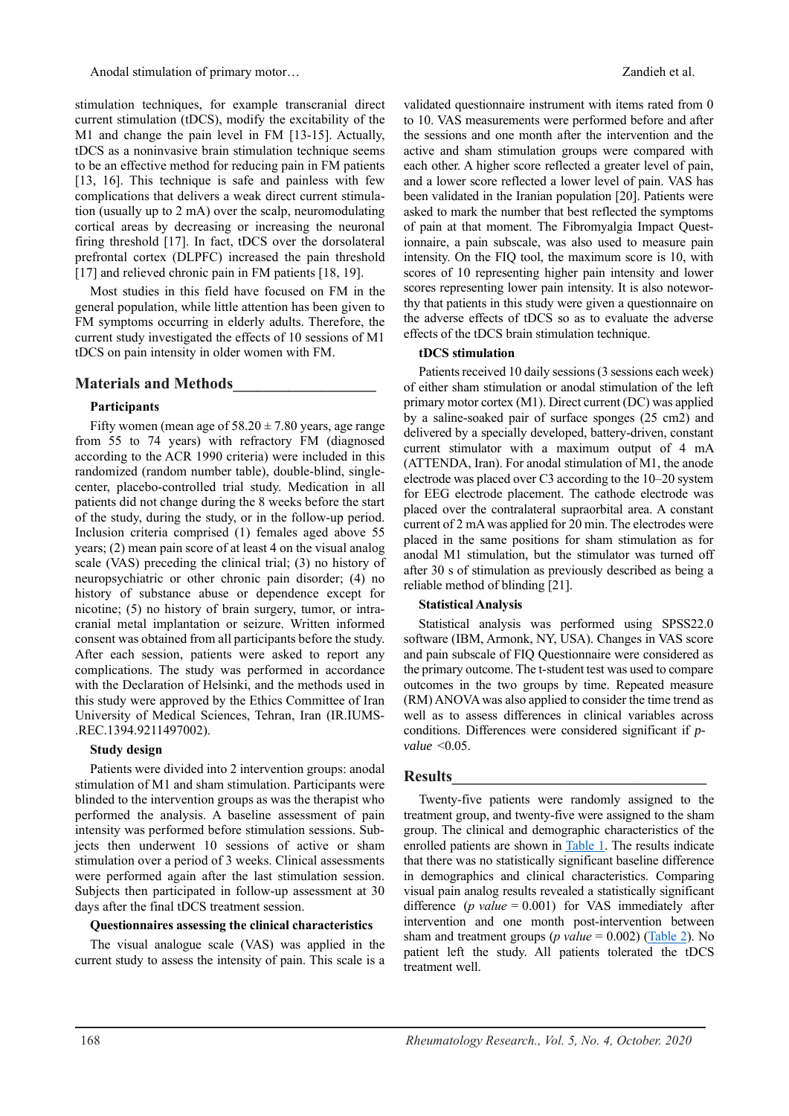Anodal stimulation of primary motor… **Anodal stimulation** of primary motor…

stimulation techniques, for example transcranial direct current stimulation (tDCS), modify the excitability of the M1 and change the pain level in FM [13-15]. Actually, tDCS as a noninvasive brain stimulation technique seems to be an effective method for reducing pain in FM patients [13, 16]. This technique is safe and painless with few complications that delivers a weak direct current stimulation (usually up to 2 mA) over the scalp, neuromodulating cortical areas by decreasing or increasing the neuronal firing threshold [17]. In fact, tDCS over the dorsolateral prefrontal cortex (DLPFC) increased the pain threshold [17] and relieved chronic pain in FM patients [18, 19].

Most studies in this field have focused on FM in the general population, while little attention has been given to FM symptoms occurring in elderly adults. Therefore, the current study investigated the effects of 10 sessions of M1 tDCS on pain intensity in older women with FM.

## **Materials and Methods\_\_\_\_\_\_\_\_\_\_\_\_\_\_\_\_\_\_**

### **Participants**

Fifty women (mean age of  $58.20 \pm 7.80$  years, age range from 55 to 74 years) with refractory FM (diagnosed according to the ACR 1990 criteria) were included in this randomized (random number table), double-blind, singlecenter, placebo-controlled trial study. Medication in all patients did not change during the 8 weeks before the start of the study, during the study, or in the follow-up period. Inclusion criteria comprised (1) females aged above 55 years; (2) mean pain score of at least 4 on the visual analog scale (VAS) preceding the clinical trial; (3) no history of neuropsychiatric or other chronic pain disorder; (4) no history of substance abuse or dependence except for nicotine; (5) no history of brain surgery, tumor, or intracranial metal implantation or seizure. Written informed consent was obtained from all participants before the study. After each session, patients were asked to report any complications. The study was performed in accordance with the Declaration of Helsinki, and the methods used in this study were approved by the Ethics Committee of Iran University of Medical Sciences, Tehran, Iran (IR.IUMS- .REC.1394.9211497002).

### **Study design**

Patients were divided into 2 intervention groups: anodal stimulation of M1 and sham stimulation. Participants were blinded to the intervention groups as was the therapist who performed the analysis. A baseline assessment of pain intensity was performed before stimulation sessions. Subjects then underwent 10 sessions of active or sham stimulation over a period of 3 weeks. Clinical assessments were performed again after the last stimulation session. Subjects then participated in follow-up assessment at 30 days after the final tDCS treatment session.

### **Questionnaires assessing the clinical characteristics**

<span id="page-1-0"></span>The visual analogue scale (VAS) was applied in the current study to assess the intensity of pain. This scale is a

validated questionnaire instrument with items rated from 0 to 10. VAS measurements were performed before and after the sessions and one month after the intervention and the active and sham stimulation groups were compared with each other. A higher score reflected a greater level of pain, and a lower score reflected a lower level of pain. VAS has been validated in the Iranian population [20]. Patients were asked to mark the number that best reflected the symptoms of pain at that moment. The Fibromyalgia Impact Questionnaire, a pain subscale, was also used to measure pain intensity. On the FIQ tool, the maximum score is 10, with scores of 10 representing higher pain intensity and lower scores representing lower pain intensity. It is also noteworthy that patients in this study were given a questionnaire on the adverse effects of tDCS so as to evaluate the adverse effects of the tDCS brain stimulation technique.

### **tDCS stimulation**

Patients received 10 daily sessions (3 sessions each week) of either sham stimulation or anodal stimulation of the left primary motor cortex (M1). Direct current (DC) was applied by a saline-soaked pair of surface sponges (25 cm2) and delivered by a specially developed, battery-driven, constant current stimulator with a maximum output of 4 mA (ATTENDA, Iran). For anodal stimulation of M1, the anode electrode was placed over C3 according to the 10–20 system for EEG electrode placement. The cathode electrode was placed over the contralateral supraorbital area. A constant current of 2 mA was applied for 20 min. The electrodes were placed in the same positions for sham stimulation as for anodal M1 stimulation, but the stimulator was turned off after 30 s of stimulation as previously described as being a reliable method of blinding [21].

### **Statistical Analysis**

Statistical analysis was performed using SPSS22.0 software (IBM, Armonk, NY, USA). Changes in VAS score and pain subscale of FIQ Questionnaire were considered as the primary outcome. The t-student test was used to compare outcomes in the two groups by time. Repeated measure (RM) ANOVA was also applied to consider the time trend as well as to assess differences in clinical variables across conditions. Differences were considered significant if *pvalue* <0.05.

### **Results\_\_\_\_\_\_\_\_\_\_\_\_\_\_\_\_\_\_\_\_\_\_\_\_\_\_\_\_\_\_\_\_**

Twenty-five patients were randomly assigned to the treatment group, and twenty-five were assigned to the sham group. The clinical and demographic characteristics of the enrolled patients are shown in **Table 1**. The results indicate that there was no statistically significant baseline difference in demographics and clinical characteristics. Comparing visual pain analog results revealed a statistically significant difference (*p value* = 0.001) for VAS immediately after intervention and one month post-intervention between sham and treatment groups (*p value* = 0.002) [\(Table 2\)](#page-2-0). No patient left the study. All patients tolerated the tDCS treatment well.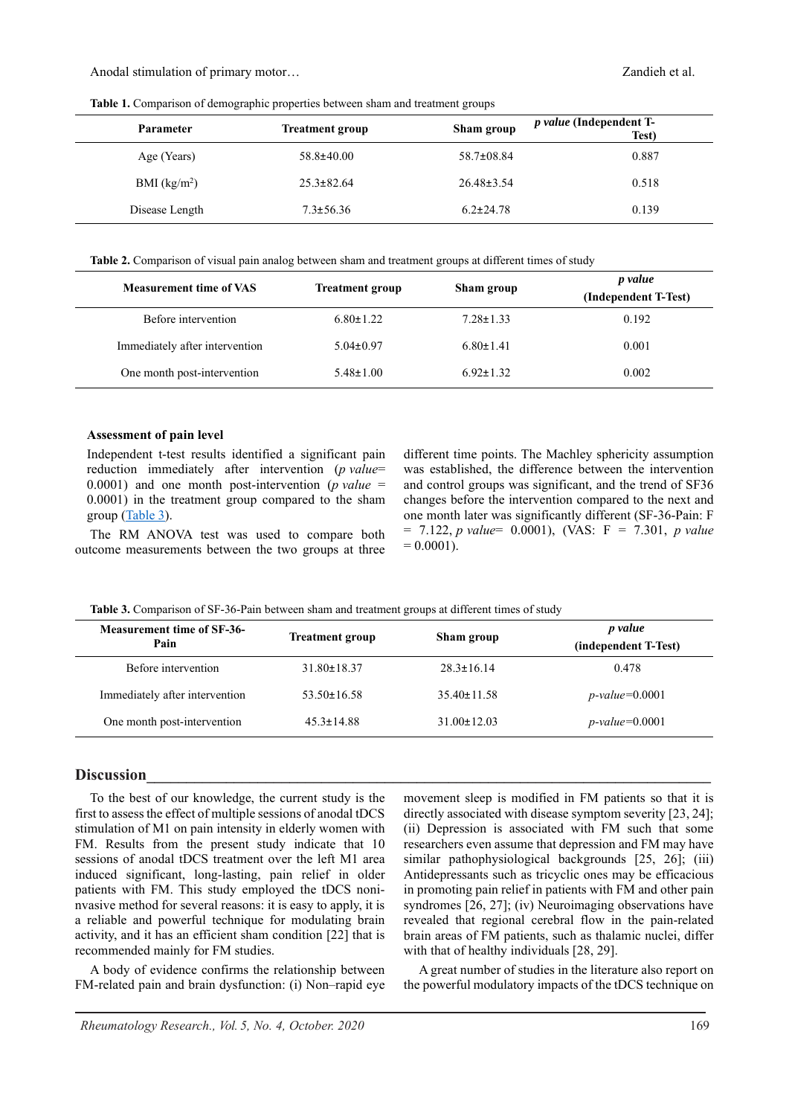| Table 1. Comparison of demographic properties between sham and treatment groups |  |
|---------------------------------------------------------------------------------|--|
|---------------------------------------------------------------------------------|--|

| Parameter      | <b>Treatment group</b> | Sham group       | p value (Independent T-<br>Test) |
|----------------|------------------------|------------------|----------------------------------|
| Age (Years)    | $58.8 \pm 40.00$       | 58.7±08.84       | 0.887                            |
| BMI $(kg/m2)$  | $25.3 \pm 82.64$       | $26.48 \pm 3.54$ | 0.518                            |
| Disease Length | $7.3 \pm 56.36$        | $6.2 \pm 24.78$  | 0.139                            |

<span id="page-2-0"></span>**Table 2.** Comparison of visual pain analog between sham and treatment groups at different times of study

| <b>Measurement time of VAS</b> | <b>Treatment group</b> | Sham group      | <i>p</i> value<br>(Independent T-Test) |
|--------------------------------|------------------------|-----------------|----------------------------------------|
| Before intervention            | $6.80 \pm 1.22$        | $7.28 \pm 1.33$ | 0.192                                  |
| Immediately after intervention | $5.04 \pm 0.97$        | $6.80 \pm 1.41$ | 0.001                                  |
| One month post-intervention    | $5.48 \pm 1.00$        | $6.92 \pm 1.32$ | 0.002                                  |

#### **Assessment of pain level**

Independent t-test results identified a significant pain reduction immediately after intervention (*p value*= 0.0001) and one month post-intervention ( $p$  *value* = 0.0001) in the treatment group compared to the sham group [\(Table 3\)](#page-2-1).

The RM ANOVA test was used to compare both outcome measurements between the two groups at three

different time points. The Machley sphericity assumption was established, the difference between the intervention and control groups was significant, and the trend of SF36 changes before the intervention compared to the next and one month later was significantly different (SF-36-Pain: F = 7.122, *p value*= 0.0001), (VAS: F = 7.301, *p value*   $= 0.0001$ ).

<span id="page-2-1"></span>**Table 3.** Comparison of SF-36-Pain between sham and treatment groups at different times of study

| <b>Measurement time of SF-36-</b><br>Pain | <b>Treatment group</b> | Sham group        | p value<br>(independent T-Test) |
|-------------------------------------------|------------------------|-------------------|---------------------------------|
| Before intervention                       | $31.80 \pm 18.37$      | $28.3 \pm 16.14$  | 0.478                           |
| Immediately after intervention            | $53.50 \pm 16.58$      | $35.40 \pm 11.58$ | $p$ -value=0.0001               |
| One month post-intervention               | $45.3 \pm 14.88$       | $31.00 \pm 12.03$ | $p$ -value=0.0001               |

### **Discussion\_\_\_\_\_\_\_\_\_\_\_\_\_\_\_\_\_\_\_\_\_\_\_\_\_\_\_\_\_\_\_\_\_\_\_\_\_\_\_\_\_\_\_\_\_\_\_\_\_\_\_\_\_\_\_\_\_\_\_\_\_\_\_\_\_\_\_\_\_\_\_**

To the best of our knowledge, the current study is the first to assess the effect of multiple sessions of anodal tDCS stimulation of M1 on pain intensity in elderly women with FM. Results from the present study indicate that 10 sessions of anodal tDCS treatment over the left M1 area induced significant, long-lasting, pain relief in older patients with FM. This study employed the tDCS noninvasive method for several reasons: it is easy to apply, it is a reliable and powerful technique for modulating brain activity, and it has an efficient sham condition [22] that is recommended mainly for FM studies.

A body of evidence confirms the relationship between FM-related pain and brain dysfunction: (i) Non–rapid eye

movement sleep is modified in FM patients so that it is directly associated with disease symptom severity [23, 24]; (ii) Depression is associated with FM such that some researchers even assume that depression and FM may have similar pathophysiological backgrounds [25, 26]; (iii) Antidepressants such as tricyclic ones may be efficacious in promoting pain relief in patients with FM and other pain syndromes [26, 27]; (iv) Neuroimaging observations have revealed that regional cerebral flow in the pain-related brain areas of FM patients, such as thalamic nuclei, differ with that of healthy individuals [28, 29].

A great number of studies in the literature also report on the powerful modulatory impacts of the tDCS technique on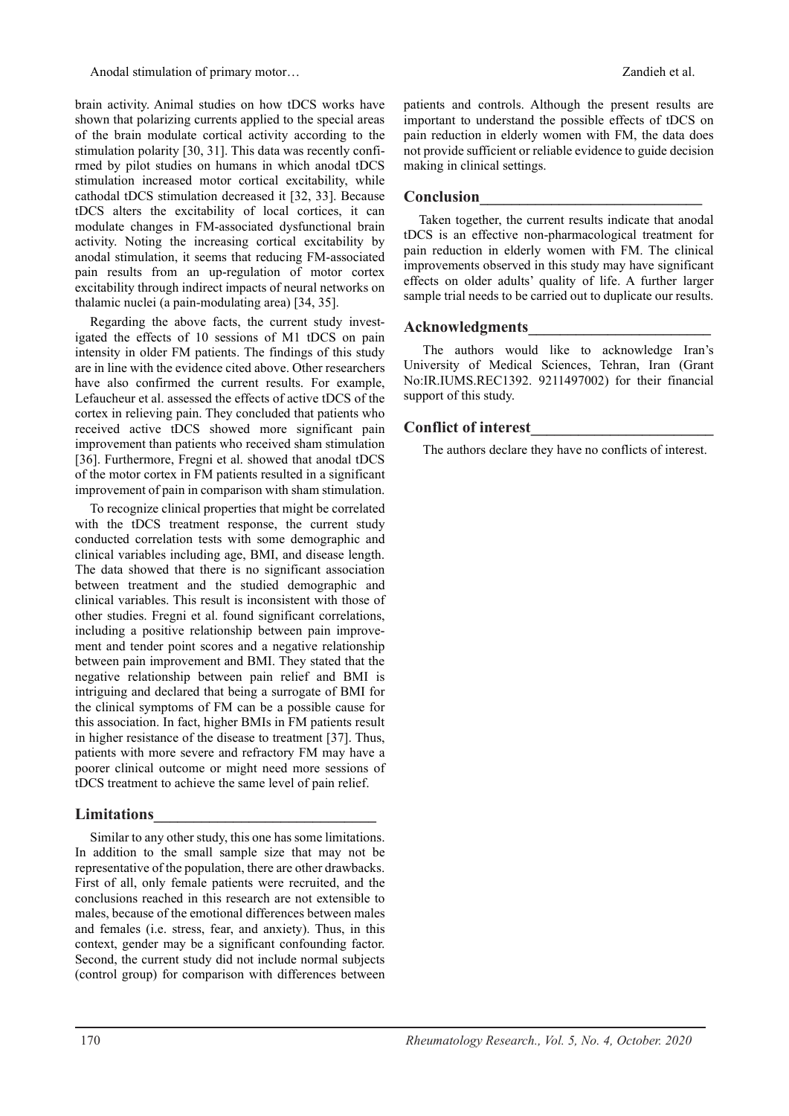Anodal stimulation of primary motor… **Anodal stimulation** of primary motor…

brain activity. Animal studies on how tDCS works have shown that polarizing currents applied to the special areas of the brain modulate cortical activity according to the stimulation polarity [30, 31]. This data was recently confirmed by pilot studies on humans in which anodal tDCS stimulation increased motor cortical excitability, while cathodal tDCS stimulation decreased it [32, 33]. Because tDCS alters the excitability of local cortices, it can modulate changes in FM-associated dysfunctional brain activity. Noting the increasing cortical excitability by anodal stimulation, it seems that reducing FM-associated pain results from an up-regulation of motor cortex excitability through indirect impacts of neural networks on thalamic nuclei (a pain-modulating area) [34, 35].

Regarding the above facts, the current study investigated the effects of 10 sessions of M1 tDCS on pain intensity in older FM patients. The findings of this study are in line with the evidence cited above. Other researchers have also confirmed the current results. For example, Lefaucheur et al. assessed the effects of active tDCS of the cortex in relieving pain. They concluded that patients who received active tDCS showed more significant pain improvement than patients who received sham stimulation [36]. Furthermore, Fregni et al. showed that anodal tDCS of the motor cortex in FM patients resulted in a significant improvement of pain in comparison with sham stimulation.

To recognize clinical properties that might be correlated with the tDCS treatment response, the current study conducted correlation tests with some demographic and clinical variables including age, BMI, and disease length. The data showed that there is no significant association between treatment and the studied demographic and clinical variables. This result is inconsistent with those of other studies. Fregni et al. found significant correlations, including a positive relationship between pain improvement and tender point scores and a negative relationship between pain improvement and BMI. They stated that the negative relationship between pain relief and BMI is intriguing and declared that being a surrogate of BMI for the clinical symptoms of FM can be a possible cause for this association. In fact, higher BMIs in FM patients result in higher resistance of the disease to treatment [37]. Thus, patients with more severe and refractory FM may have a poorer clinical outcome or might need more sessions of tDCS treatment to achieve the same level of pain relief.

# **Limitations\_\_\_\_\_\_\_\_\_\_\_\_\_\_\_\_\_\_\_\_\_\_\_\_\_\_\_\_**

Similar to any other study, this one has some limitations. In addition to the small sample size that may not be representative of the population, there are other drawbacks. First of all, only female patients were recruited, and the conclusions reached in this research are not extensible to males, because of the emotional differences between males and females (i.e. stress, fear, and anxiety). Thus, in this context, gender may be a significant confounding factor. Second, the current study did not include normal subjects (control group) for comparison with differences between patients and controls. Although the present results are important to understand the possible effects of tDCS on pain reduction in elderly women with FM, the data does not provide sufficient or reliable evidence to guide decision making in clinical settings.

# **Conclusion\_\_\_\_\_\_\_\_\_\_\_\_\_\_\_\_\_\_\_\_\_\_\_\_\_\_\_\_**

Taken together, the current results indicate that anodal tDCS is an effective non-pharmacological treatment for pain reduction in elderly women with FM. The clinical improvements observed in this study may have significant effects on older adults' quality of life. A further larger sample trial needs to be carried out to duplicate our results.

## **Acknowledgments\_\_\_\_\_\_\_\_\_\_\_\_\_\_\_\_\_\_\_\_\_\_\_**

The authors would like to acknowledge Iran's University of Medical Sciences, Tehran, Iran (Grant No:IR.IUMS.REC1392. 9211497002) for their financial support of this study.

# **Conflict of interest\_\_\_\_\_\_\_\_\_\_\_\_\_\_\_\_\_\_\_\_\_\_\_**

The authors declare they have no conflicts of interest.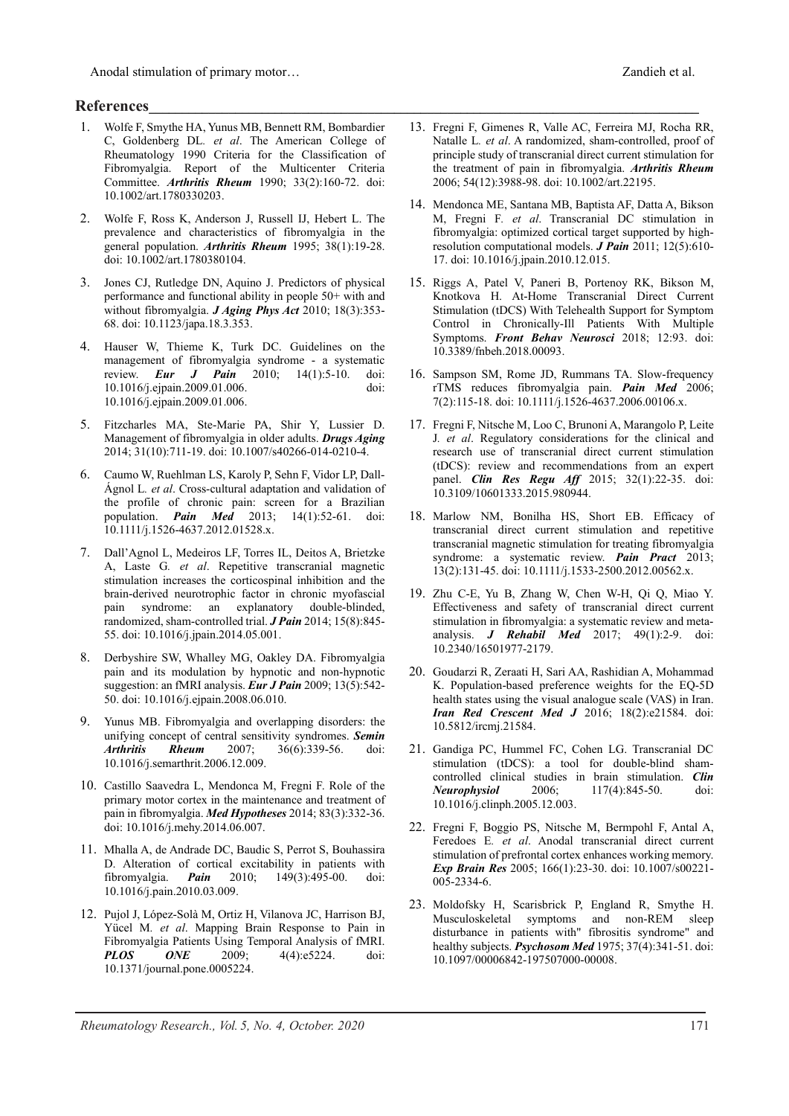Anodal stimulation of primary motor…  $Z$  and  $Z$  and  $Z$  and  $Z$  and  $Z$  and  $Z$  and  $Z$  and  $Z$  and  $Z$  and  $Z$  and  $Z$  and  $Z$  and  $Z$  and  $Z$  and  $Z$  and  $Z$  and  $Z$  and  $Z$  and  $Z$  and  $Z$  and  $Z$  and  $Z$  and  $Z$  and

# **References\_\_\_\_\_\_\_\_\_\_\_\_\_\_\_\_\_\_\_\_\_\_\_\_\_\_\_\_\_\_\_\_\_\_\_\_\_\_\_\_\_\_\_\_\_\_\_\_\_\_\_\_\_\_\_\_\_\_\_\_\_\_\_\_\_\_\_\_\_\_\_\_\_\_\_\_\_\_\_\_\_\_\_**

- 1. Wolfe F, Smythe HA, Yunus MB, Bennett RM, Bombardier C, Goldenberg DL*. et al*. The American College of Rheumatology 1990 Criteria for the Classification of Fibromyalgia. Report of the Multicenter Criteria Committee. *Arthritis Rheum* 1990; 33(2):160-72. doi: 10.1002/art.1780330203.
- 2. Wolfe F, Ross K, Anderson J, Russell IJ, Hebert L. The prevalence and characteristics of fibromyalgia in the general population. *Arthritis Rheum* 1995; 38(1):19-28. doi: 10.1002/art.1780380104.
- 3. Jones CJ, Rutledge DN, Aquino J. Predictors of physical performance and functional ability in people 50+ with and without fibromyalgia. *J Aging Phys Act* 2010; 18(3):353- 68. doi: 10.1123/japa.18.3.353.
- 4. Hauser W, Thieme K, Turk DC. Guidelines on the management of fibromyalgia syndrome - a systematic review. *Eur J Pain* 2010; 14(1):5-10. doi: 10.1016/j.ejpain.2009.01.006. doi: 10.1016/j.ejpain.2009.01.006.
- 5. Fitzcharles MA, Ste-Marie PA, Shir Y, Lussier D. Management of fibromyalgia in older adults. *Drugs Aging* 2014; 31(10):711-19. doi: 10.1007/s40266-014-0210-4.
- 6. Caumo W, Ruehlman LS, Karoly P, Sehn F, Vidor LP, Dall-Ágnol L*. et al*. Cross-cultural adaptation and validation of the profile of chronic pain: screen for a Brazilian population. *Pain Med* 2013; 14(1):52-61. doi: 10.1111/j.1526-4637.2012.01528.x.
- 7. Dall'Agnol L, Medeiros LF, Torres IL, Deitos A, Brietzke A, Laste G*. et al*. Repetitive transcranial magnetic stimulation increases the corticospinal inhibition and the brain-derived neurotrophic factor in chronic myofascial pain syndrome: an explanatory double-blinded, randomized, sham-controlled trial. *J Pain* 2014; 15(8):845- 55. doi: 10.1016/j.jpain.2014.05.001.
- 8. Derbyshire SW, Whalley MG, Oakley DA. Fibromyalgia pain and its modulation by hypnotic and non-hypnotic suggestion: an fMRI analysis. *Eur J Pain* 2009; 13(5):542- 50. doi: 10.1016/j.ejpain.2008.06.010.
- 9. Yunus MB. Fibromyalgia and overlapping disorders: the unifying concept of central sensitivity syndromes. *Semin Arthritis Rheum* 2007; 36(6):339-56. doi: 10.1016/j.semarthrit.2006.12.009.
- 10. Castillo Saavedra L, Mendonca M, Fregni F. Role of the primary motor cortex in the maintenance and treatment of pain in fibromyalgia. *Med Hypotheses* 2014; 83(3):332-36. doi: 10.1016/j.mehy.2014.06.007.
- 11. Mhalla A, de Andrade DC, Baudic S, Perrot S, Bouhassira D. Alteration of cortical excitability in patients with fibromyalgia. **Pain** 2010; 149(3):495-00. doi: fibromyalgia. *Pain* 2010; 149(3):495-00. doi: 10.1016/j.pain.2010.03.009.
- 12. Pujol J, López-Solà M, Ortiz H, Vilanova JC, Harrison BJ, Yücel M*. et al*. Mapping Brain Response to Pain in Fibromyalgia Patients Using Temporal Analysis of fMRI. *PLOS ONE* 2009; 4(4):e5224. doi: 10.1371/journal.pone.0005224.
- 13. Fregni F, Gimenes R, Valle AC, Ferreira MJ, Rocha RR, Natalle L*. et al*. A randomized, sham-controlled, proof of principle study of transcranial direct current stimulation for the treatment of pain in fibromyalgia. *Arthritis Rheum* 2006; 54(12):3988-98. doi: 10.1002/art.22195.
- 14. Mendonca ME, Santana MB, Baptista AF, Datta A, Bikson M, Fregni F*. et al*. Transcranial DC stimulation in fibromyalgia: optimized cortical target supported by highresolution computational models. *J Pain* 2011; 12(5):610- 17. doi: 10.1016/j.jpain.2010.12.015.
- 15. Riggs A, Patel V, Paneri B, Portenoy RK, Bikson M, Knotkova H. At-Home Transcranial Direct Current Stimulation (tDCS) With Telehealth Support for Symptom Control in Chronically-Ill Patients With Multiple Symptoms. *Front Behav Neurosci* 2018; 12:93. doi: 10.3389/fnbeh.2018.00093.
- 16. Sampson SM, Rome JD, Rummans TA. Slow-frequency rTMS reduces fibromyalgia pain. *Pain Med* 2006; 7(2):115-18. doi: 10.1111/j.1526-4637.2006.00106.x.
- 17. Fregni F, Nitsche M, Loo C, Brunoni A, Marangolo P, Leite J*. et al*. Regulatory considerations for the clinical and research use of transcranial direct current stimulation (tDCS): review and recommendations from an expert panel. *Clin Res Regu Aff* 2015; 32(1):22-35. doi: 10.3109/10601333.2015.980944.
- 18. Marlow NM, Bonilha HS, Short EB. Efficacy of transcranial direct current stimulation and repetitive transcranial magnetic stimulation for treating fibromyalgia syndrome: a systematic review. *Pain Pract* 2013; 13(2):131-45. doi: 10.1111/j.1533-2500.2012.00562.x.
- 19. Zhu C-E, Yu B, Zhang W, Chen W-H, Qi Q, Miao Y. Effectiveness and safety of transcranial direct current stimulation in fibromyalgia: a systematic review and metaanalysis. *J Rehabil Med* 2017; 49(1):2-9. doi: 10.2340/16501977-2179.
- 20. Goudarzi R, Zeraati H, Sari AA, Rashidian A, Mohammad K. Population-based preference weights for the EQ-5D health states using the visual analogue scale (VAS) in Iran. *Iran Red Crescent Med J* 2016; 18(2):e21584. doi: 10.5812/ircmj.21584.
- 21. Gandiga PC, Hummel FC, Cohen LG. Transcranial DC stimulation (tDCS): a tool for double-blind shamcontrolled clinical studies in brain stimulation. *Clin Neurophysiol* 2006; 117(4):845-50. doi: 10.1016/j.clinph.2005.12.003.
- 22. Fregni F, Boggio PS, Nitsche M, Bermpohl F, Antal A, Feredoes E*. et al*. Anodal transcranial direct current stimulation of prefrontal cortex enhances working memory. *Exp Brain Res* 2005; 166(1):23-30. doi: 10.1007/s00221- 005-2334-6.
- 23. Moldofsky H, Scarisbrick P, England R, Smythe H. Musculoskeletal symptoms and non-REM sleep disturbance in patients with" fibrositis syndrome" and healthy subjects. *Psychosom Med* 1975; 37(4):341-51. doi: 10.1097/00006842-197507000-00008.